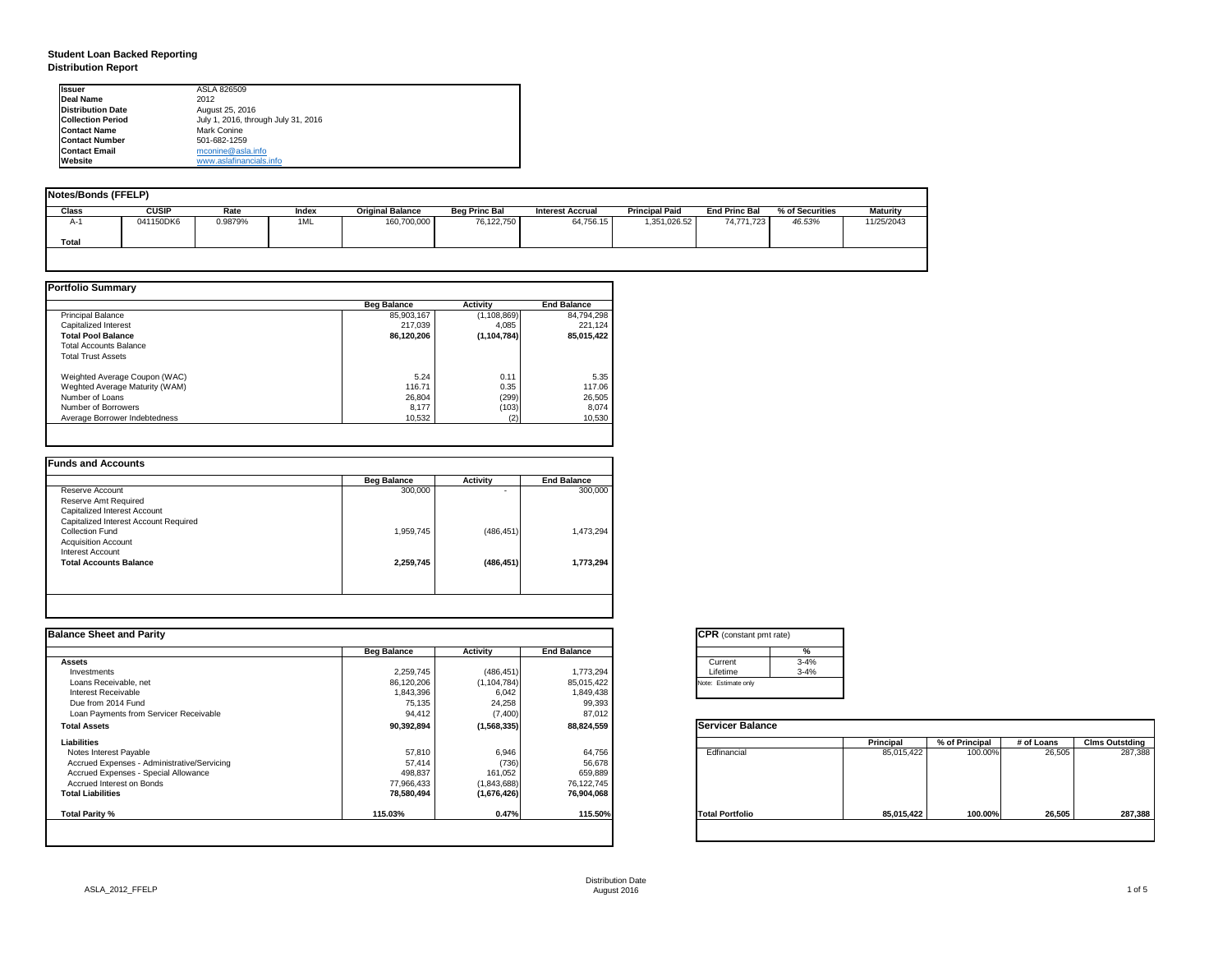| tant pmt rate) |          |
|----------------|----------|
|                | %        |
|                | $3 - 4%$ |
|                | $3 - 4%$ |
| only           |          |

|      | <b>Principal</b> | % of Principal | # of Loans | <b>Clms Outstding</b> |
|------|------------------|----------------|------------|-----------------------|
| al   | 85,015,422       | 100.00%        | 26,505     | 287,388               |
| olio | 85,015,422       | 100.00%        | 26,505     | 287,388               |

# **Student Loan Backed Reporting Distribution Report**

| Notes/Bonds (FFELP) |              |         |       |                         |                      |                         |                       |                      |                 |                 |
|---------------------|--------------|---------|-------|-------------------------|----------------------|-------------------------|-----------------------|----------------------|-----------------|-----------------|
| <b>Class</b>        | <b>CUSIP</b> | Rate    | Index | <b>Original Balance</b> | <b>Beg Princ Bal</b> | <b>Interest Accrual</b> | <b>Principal Paid</b> | <b>End Princ Bal</b> | % of Securities | <b>Maturity</b> |
| A-1                 | 041150DK6    | 0.9879% | 1ML   | 160,700,000             | 76,122,750           | 64,756.15               | 1,351,026.52          | 74,771,723           | 46.53%          | 11/25/2043      |
| <b>Total</b>        |              |         |       |                         |                      |                         |                       |                      |                 |                 |
|                     |              |         |       |                         |                      |                         |                       |                      |                 |                 |

|                                | <b>Beg Balance</b> | <b>Activity</b> | <b>End Balance</b> |
|--------------------------------|--------------------|-----------------|--------------------|
| <b>Principal Balance</b>       | 85,903,167         | (1, 108, 869)   | 84,794,298         |
| Capitalized Interest           | 217,039            | 4,085           | 221,124            |
| <b>Total Pool Balance</b>      | 86,120,206         | (1, 104, 784)   | 85,015,422         |
| <b>Total Accounts Balance</b>  |                    |                 |                    |
| <b>Total Trust Assets</b>      |                    |                 |                    |
| Weighted Average Coupon (WAC)  | 5.24               | 0.11            | 5.35               |
| Weghted Average Maturity (WAM) | 116.71             | 0.35            | 117.06             |
| Number of Loans                | 26,804             | (299)           | 26,505             |
| Number of Borrowers            | 8,177              | (103)           | 8,074              |
| Average Borrower Indebtedness  | 10,532             | (2)             | 10,530             |

| <b>Beg Balance</b> | <b>Activity</b> | <b>End Balance</b> |
|--------------------|-----------------|--------------------|
| 300,000            |                 | 300,000            |
|                    |                 |                    |
|                    |                 |                    |
|                    |                 |                    |
| 1,959,745          | (486, 451)      | 1,473,294          |
|                    |                 |                    |
|                    |                 |                    |
| 2,259,745          | (486, 451)      | 1,773,294          |
|                    |                 |                    |
|                    |                 |                    |

| <b>Ilssuer</b>           | ASLA 826509                         |
|--------------------------|-------------------------------------|
| <b>IDeal Name</b>        | 2012                                |
| <b>Distribution Date</b> | August 25, 2016                     |
| <b>Collection Period</b> | July 1, 2016, through July 31, 2016 |
| <b>IContact Name</b>     | Mark Conine                         |
| <b>Contact Number</b>    | 501-682-1259                        |
| <b>Contact Email</b>     | mconine@asla.info                   |
| <b>IWebsite</b>          | www.aslafinancials.info             |

| <b>Activity</b><br>(486, 451)<br>(1, 104, 784)<br>6,042<br>24,258<br>(7, 400) | <b>End Balance</b><br>1,773,294<br>85,015,422<br>1,849,438<br>99,393<br>87,012 | Current<br>Lifetime<br>Note: Estimate only | $3 - 4%$<br>$3 - 4%$ |                         |                |            |                       |
|-------------------------------------------------------------------------------|--------------------------------------------------------------------------------|--------------------------------------------|----------------------|-------------------------|----------------|------------|-----------------------|
|                                                                               |                                                                                |                                            |                      |                         |                |            |                       |
|                                                                               |                                                                                |                                            |                      |                         |                |            |                       |
|                                                                               |                                                                                |                                            |                      |                         |                |            |                       |
|                                                                               |                                                                                |                                            |                      |                         |                |            |                       |
|                                                                               |                                                                                |                                            |                      |                         |                |            |                       |
|                                                                               |                                                                                |                                            |                      |                         |                |            |                       |
|                                                                               |                                                                                |                                            |                      |                         |                |            |                       |
| (1, 568, 335)                                                                 | 88,824,559                                                                     |                                            |                      |                         |                |            |                       |
|                                                                               |                                                                                |                                            |                      | <b>Principal</b>        | % of Principal | # of Loans | <b>Clms Outstding</b> |
| 6,946                                                                         | 64,756                                                                         | Edfinancial                                |                      | 85,015,422              | 100.00%        | 26,505     | 287,388               |
| (736)                                                                         | 56,678                                                                         |                                            |                      |                         |                |            |                       |
| 161,052                                                                       | 659,889                                                                        |                                            |                      |                         |                |            |                       |
| (1,843,688)                                                                   | 76,122,745                                                                     |                                            |                      |                         |                |            |                       |
| (1,676,426)                                                                   | 76,904,068                                                                     |                                            |                      |                         |                |            |                       |
| 0.47%                                                                         | 115.50%                                                                        | <b>Total Portfolio</b>                     |                      | 85,015,422              | 100.00%        | 26,505     | 287,388               |
|                                                                               |                                                                                |                                            |                      | <b>Servicer Balance</b> |                |            |                       |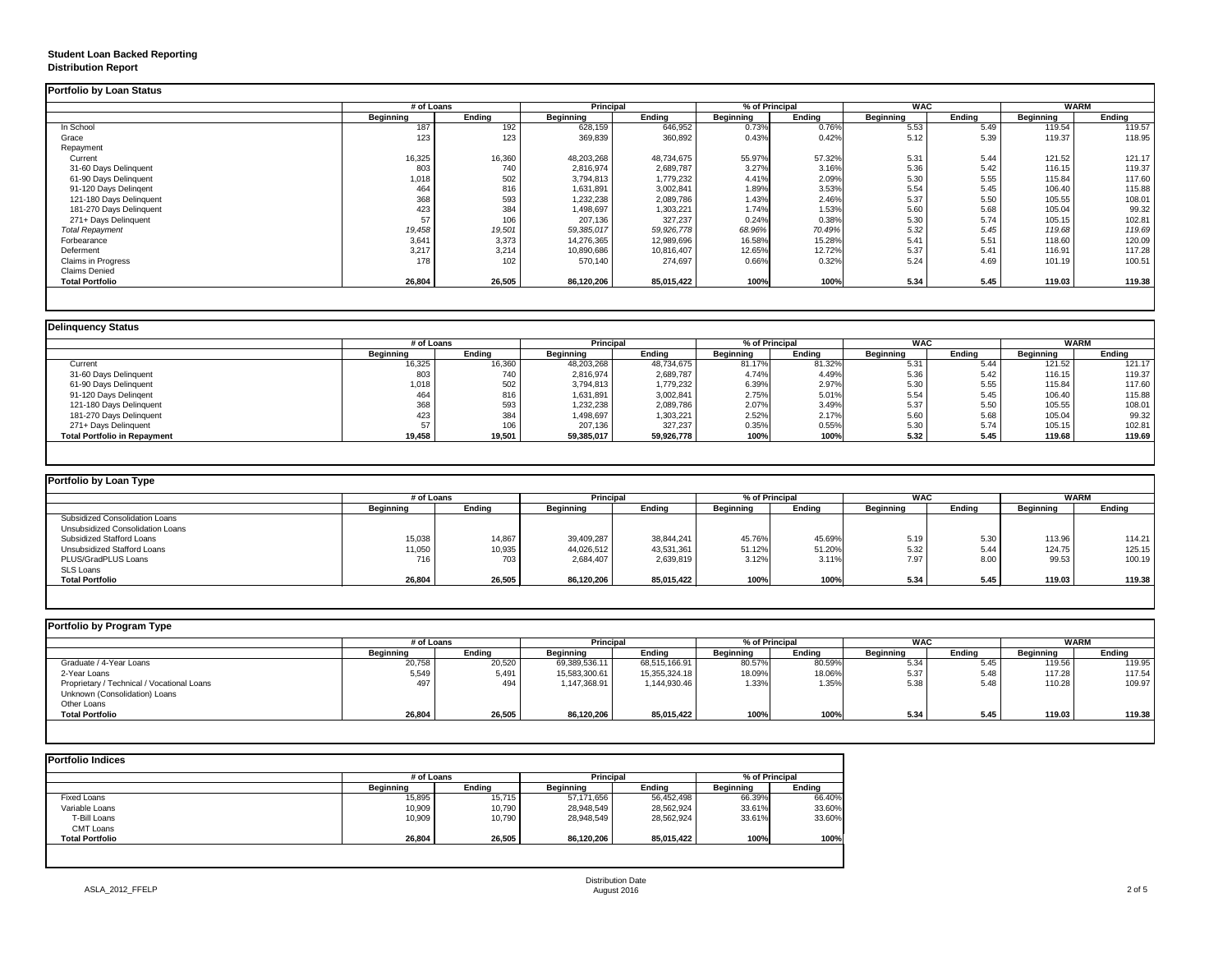# **Student Loan Backed Reporting Distribution Report**

## **Delinquency Status**

| <b>Portfolio by Loan Status</b> |                  |               |                  |               |                  |               |                  |               |                  |               |
|---------------------------------|------------------|---------------|------------------|---------------|------------------|---------------|------------------|---------------|------------------|---------------|
|                                 | # of Loans       |               | <b>Principal</b> |               | % of Principal   |               | <b>WAC</b>       |               | <b>WARM</b>      |               |
|                                 | <b>Beginning</b> | <b>Ending</b> | <b>Beginning</b> | <b>Ending</b> | <b>Beginning</b> | <b>Ending</b> | <b>Beginning</b> | <b>Ending</b> | <b>Beginning</b> | <b>Ending</b> |
| In School                       | 187              | 192           | 628,159          | 646,952       | 0.73%            | 0.76%         | 5.53             | 5.49          | 119.54           | 119.57        |
| Grace                           | 123              | 123           | 369,839          | 360,892       | 0.43%            | 0.42%         | 5.12             | 5.39          | 119.37           | 118.95        |
| Repayment                       |                  |               |                  |               |                  |               |                  |               |                  |               |
| Current                         | 16,325           | 16,360        | 48,203,268       | 48,734,675    | 55.97%           | 57.32%        | 5.31             | 5.44          | 121.52           | 121.17        |
| 31-60 Days Delinquent           | 803              | 740           | 2,816,974        | 2,689,787     | 3.27%            | 3.16%         | 5.36             | 5.42          | 116.15           | 119.37        |
| 61-90 Days Delinquent           | 1,018            | 502           | 3,794,813        | 1,779,232     | 4.41%            | 2.09%         | 5.30             | 5.55          | 115.84           | 117.60        |
| 91-120 Days Delingent           | 464              | 816           | 1,631,891        | 3,002,841     | 1.89%            | 3.53%         | 5.54             | 5.45          | 106.40           | 115.88        |
| 121-180 Days Delinquent         | 368              | 593           | 1,232,238        | 2,089,786     | 1.43%            | 2.46%         | 5.37             | 5.50          | 105.55           | 108.01        |
| 181-270 Days Delinquent         | 423              | 384           | 1,498,697        | 1,303,221     | 1.74%            | 1.53%         | 5.60             | 5.68          | 105.04           | 99.32         |
| 271+ Days Delinquent            | 57               | 106           | 207,136          | 327,237       | 0.24%            | 0.38%         | 5.30             | 5.74          | 105.15           | 102.81        |
| <b>Total Repayment</b>          | 19,458           | 19,501        | 59,385,017       | 59,926,778    | 68.96%           | 70.49%        | 5.32             | 5.45          | 119.68           | 119.69        |
| Forbearance                     | 3,641            | 3,373         | 14,276,365       | 12,989,696    | 16.58%           | 15.28%        | 5.41             | 5.51          | 118.60           | 120.09        |
| Deferment                       | 3,217            | 3,214         | 10,890,686       | 10,816,407    | 12.65%           | 12.72%        | 5.37             | 5.41          | 116.91           | 117.28        |
| <b>Claims in Progress</b>       | 178              | 102           | 570,140          | 274,697       | 0.66%            | 0.32%         | 5.24             | 4.69          | 101.19           | 100.51        |
| <b>Claims Denied</b>            |                  |               |                  |               |                  |               |                  |               |                  |               |
| <b>Total Portfolio</b>          | 26,804           | 26,505        | 86,120,206       | 85,015,422    | 100%             | 100%          | 5.34             | 5.45          | 119.03           | 119.38        |

# **Portfolio by Loan Type** Subsidized Consolidation Loans Unsubsidized Consolidation Loans Subsidized Stafford Loans 15,038 14,867 39,409,287 38,844,241 45.76% 45.69% 5.19 5.30 113.96 114.21 Unsubsidized Stafford Loans 11,050 10,935 44,026,512 43,531,361 51.12% 51.20% 5.32 5.44 124.75 125.15 PLUS/GradPLUS Loans 716 703 2,684,407 2,639,819 3.12% 3.11% 7.97 8.00 99.53 100.19 SLS Loans<br>Total Portfolio **Total Portfolio 26,804 26,505 86,120,206 85,015,422 100% 100% 5.34 5.45 119.03 119.38**

|                                     | # of Loans       |               | <b>Principal</b> |               | % of Principal   |               | <b>WAC</b>       |               | <b>WARM</b>      |               |
|-------------------------------------|------------------|---------------|------------------|---------------|------------------|---------------|------------------|---------------|------------------|---------------|
|                                     | <b>Beginning</b> | <b>Ending</b> | <b>Beginning</b> | <b>Ending</b> | <b>Beginning</b> | <b>Ending</b> | <b>Beginning</b> | <b>Ending</b> | <b>Beginning</b> | <b>Ending</b> |
| Current                             | 16,325           | 16,360        | 48,203,268       | 48,734,675    | 81.17%           | 81.32%        | 5.31             | 5.44          | 121.52           | 121.17        |
| 31-60 Days Delinquent               | 803              | 740           | 2,816,974        | 2,689,787     | 4.74%            | 4.49%         | 5.36             | 5.42          | 116.15           | 119.37        |
| 61-90 Days Delinquent               | 1,018            | 502           | 3,794,813        | 1,779,232     | 6.39%            | 2.97%         | 5.30             | 5.55          | 115.84           | 117.60        |
| 91-120 Days Delinqent               | 464              | 816           | 1,631,891        | 3,002,841     | 2.75%            | 5.01%         | 5.54             | 5.45          | 106.40           | 115.88        |
| 121-180 Days Delinquent             | 368              | 593           | 1,232,238        | 2,089,786     | 2.07%            | 3.49%         | 5.37             | 5.50          | 105.55           | 108.01        |
| 181-270 Days Delinquent             | 423              | 384           | 1,498,697        | 1,303,221     | 2.52%            | 2.17%         | 5.60             | 5.68          | 105.04           | 99.32         |
| 271+ Days Delinquent                |                  | 106           | 207,136          | 327,237       | 0.35%            | 0.55%         | 5.30             | 5.74          | 105.15           | 102.81        |
| <b>Total Portfolio in Repayment</b> | 19,458           | 19,501        | 59,385,017       | 59,926,778    | 100%             | 100%          | 5.32             | 5.45          | 119.68           | 119.69        |

| # of Loans       |               | <b>Principal</b> |               | % of Principal   |               | <b>WAC</b>       |               |                  | <b>WARM</b>   |
|------------------|---------------|------------------|---------------|------------------|---------------|------------------|---------------|------------------|---------------|
| <b>Beginning</b> | <b>Ending</b> | <b>Beginning</b> | <b>Ending</b> | <b>Beginning</b> | <b>Ending</b> | <b>Beginning</b> | <b>Ending</b> | <b>Beginning</b> | <b>Ending</b> |
|                  |               |                  |               |                  |               |                  |               |                  |               |
|                  |               |                  |               |                  |               |                  |               |                  |               |
| 15,038           | 14,867        | 39,409,287       | 38,844,241    | 45.76%           | 45.69%        | 5.19             | 5.30          | 113.96           | 114.21        |
| 11,050           | 10,935        | 44,026,512       | 43,531,361    | 51.12%           | 51.20%        | 5.32             | 5.44          | 124.75           | 125.15        |
| 716              | 703           | 2,684,407        | 2,639,819     | 3.12%            | 3.11%         | 7.97             | 8.00          | 99.53            | 100.19        |
|                  |               |                  |               |                  |               |                  |               |                  |               |
| 26,804           | 26,505        | 86,120,206       | 85,015,422    | 100%             | 100%          | 5.34             | 5.45          | 119.03           | 119.38        |

|                                            |                  | # of Loans    |                  | <b>Principal</b> |                  | % of Principal |                  | <b>WAC</b>    | <b>WARM</b>      |               |
|--------------------------------------------|------------------|---------------|------------------|------------------|------------------|----------------|------------------|---------------|------------------|---------------|
|                                            | <b>Beginning</b> | <b>Ending</b> | <b>Beginning</b> | <b>Ending</b>    | <b>Beginning</b> | <b>Ending</b>  | <b>Beginning</b> | <b>Ending</b> | <b>Beginning</b> | <b>Ending</b> |
| Graduate / 4-Year Loans                    | 20,758           | 20,520        | 69,389,536.11    | 68,515,166.91    | 80.57%           | 80.59%         | 5.34             | 5.45          | 119.56           | 119.95        |
| 2-Year Loans                               | 5,549            | 5,491         | 15,583,300.61    | 15,355,324.18    | 18.09%           | 18.06%         | 5.37             | 5.48          | 117.28           | 117.54        |
| Proprietary / Technical / Vocational Loans | 497              | 494           | 1,147,368.91     | 1,144,930.46     | 1.33%            | 1.35%          | 5.38             | 5.48          | 110.28           | 109.97        |
| Unknown (Consolidation) Loans              |                  |               |                  |                  |                  |                |                  |               |                  |               |
| Other Loans                                |                  |               |                  |                  |                  |                |                  |               |                  |               |
| <b>Total Portfolio</b>                     | 26,804           | 26,505        | 86,120,206       | 85,015,422       | 100%             | 100%           | 5.34             | 5.45          | 119.03           | 119.38        |

|                        | # of Loans       | <b>Principal</b> |                  | % of Principal |                  |               |
|------------------------|------------------|------------------|------------------|----------------|------------------|---------------|
|                        | <b>Beginning</b> | <b>Ending</b>    | <b>Beginning</b> | Ending         | <b>Beginning</b> | <b>Ending</b> |
| <b>Fixed Loans</b>     | 15,895           | 15,715           | 57,171,656       | 56,452,498     | 66.39%           | 66.40%        |
| Variable Loans         | 10,909           | 10,790           | 28,948,549       | 28,562,924     | 33.61%           | 33.60%        |
| T-Bill Loans           | 10,909           | 10,790           | 28,948,549       | 28,562,924     | 33.61%           | 33.60%        |
| <b>CMT Loans</b>       |                  |                  |                  |                |                  |               |
| <b>Total Portfolio</b> | 26,804           | 26,505           | 86,120,206       | 85,015,422     | 100%             | 100%          |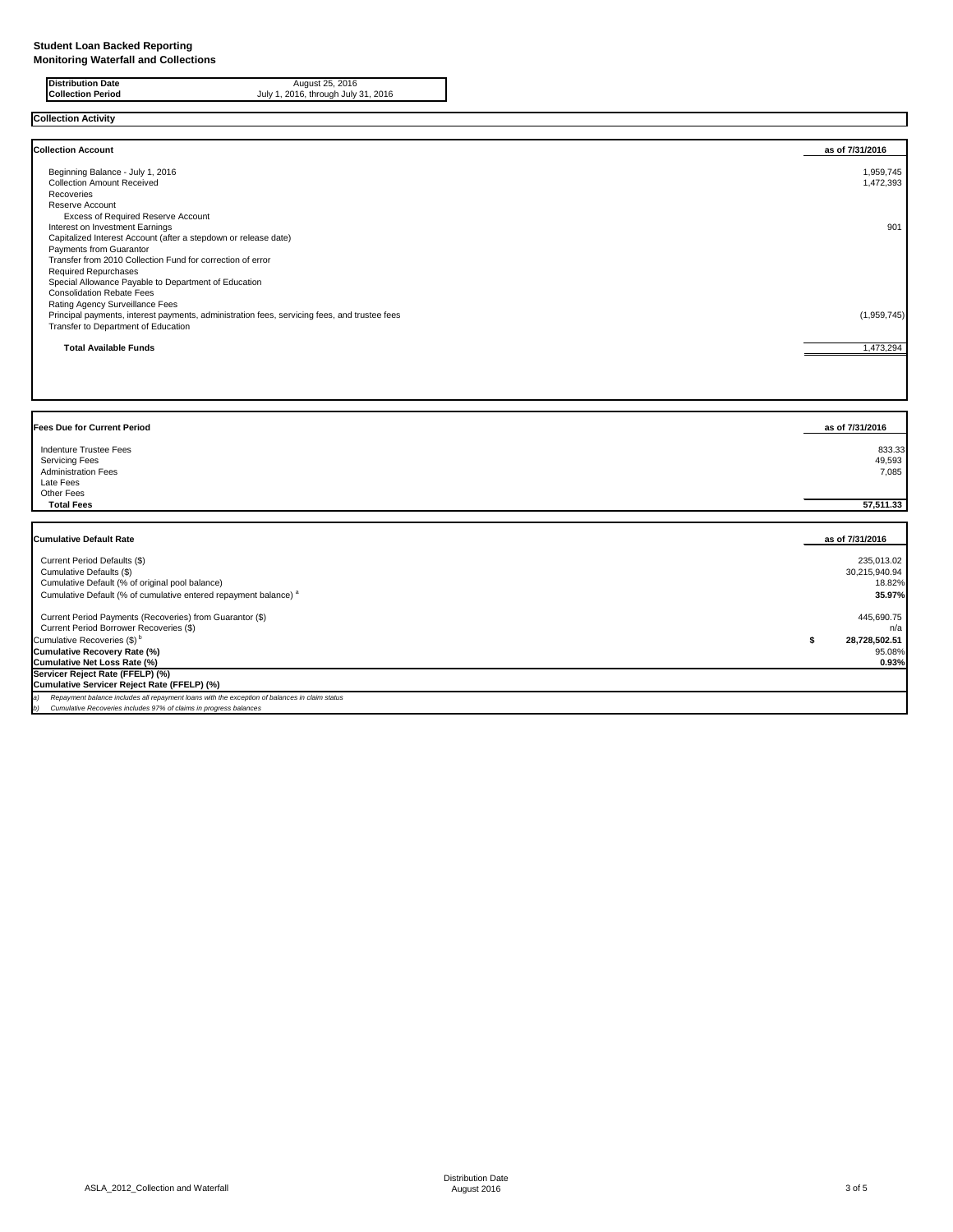**Collection Activity**

| <b>Collection Account</b>                                                                    | as of 7/31/2016 |
|----------------------------------------------------------------------------------------------|-----------------|
| Beginning Balance - July 1, 2016                                                             | 1,959,745       |
| <b>Collection Amount Received</b>                                                            | 1,472,393       |
| Recoveries                                                                                   |                 |
| <b>Reserve Account</b>                                                                       |                 |
| <b>Excess of Required Reserve Account</b>                                                    |                 |
| Interest on Investment Earnings                                                              | 901             |
| Capitalized Interest Account (after a stepdown or release date)                              |                 |
| Payments from Guarantor                                                                      |                 |
| Transfer from 2010 Collection Fund for correction of error                                   |                 |
| <b>Required Repurchases</b>                                                                  |                 |
| Special Allowance Payable to Department of Education                                         |                 |
| <b>Consolidation Rebate Fees</b>                                                             |                 |
| Rating Agency Surveillance Fees                                                              |                 |
| Principal payments, interest payments, administration fees, servicing fees, and trustee fees | (1,959,745)     |
| Transfer to Department of Education                                                          |                 |
| <b>Total Available Funds</b>                                                                 | 1,473,294       |
|                                                                                              |                 |
|                                                                                              |                 |
|                                                                                              |                 |

**Distribution Date** August 25, 2016 **Collection Period** July 1, 2016, through July 31, 2016

| <b>Fees Due for Current Period</b>              | as of 7/31/2016  |
|-------------------------------------------------|------------------|
| Indenture Trustee Fees<br><b>Servicing Fees</b> | 833.33<br>49,593 |
| <b>Administration Fees</b><br>Late Fees         | 7,085            |
| Other Fees<br><b>Total Fees</b>                 | 57,511.33        |

| <b>Cumulative Default Rate</b>                                                                      | as of 7/31/2016 |
|-----------------------------------------------------------------------------------------------------|-----------------|
| Current Period Defaults (\$)                                                                        | 235,013.02      |
| Cumulative Defaults (\$)                                                                            | 30,215,940.94   |
| Cumulative Default (% of original pool balance)                                                     | 18.82%          |
| Cumulative Default (% of cumulative entered repayment balance) <sup>a</sup>                         | 35.97%          |
| Current Period Payments (Recoveries) from Guarantor (\$)                                            | 445,690.75      |
| Current Period Borrower Recoveries (\$)                                                             | n/a             |
| Cumulative Recoveries $(\$)^{\circ}$                                                                | 28,728,502.51   |
| Cumulative Recovery Rate (%)                                                                        | 95.08%          |
| Cumulative Net Loss Rate (%)                                                                        | 0.93%           |
| Servicer Reject Rate (FFELP) (%)                                                                    |                 |
| Cumulative Servicer Reject Rate (FFELP) (%)                                                         |                 |
| Repayment balance includes all repayment loans with the exception of balances in claim status<br>a) |                 |
| Cumulative Recoveries includes 97% of claims in progress balances<br>b)                             |                 |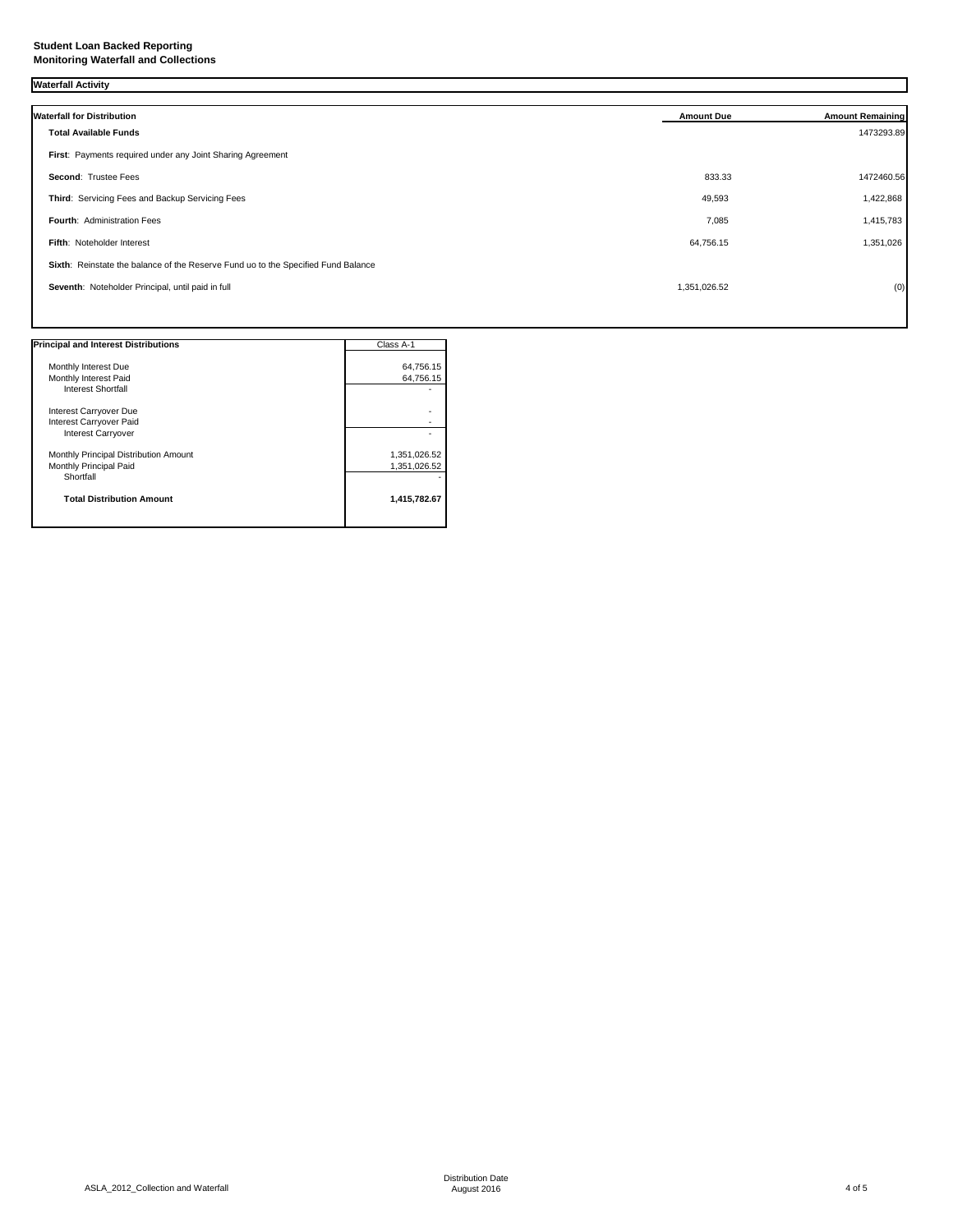## **Student Loan Backed Reporting Monitoring Waterfall and Collections**

# **Waterfall Activity**

| <b>Waterfall for Distribution</b>                                                 | <b>Amount Due</b> | <b>Amount Remaining</b> |
|-----------------------------------------------------------------------------------|-------------------|-------------------------|
| <b>Total Available Funds</b>                                                      |                   | 1473293.89              |
| First: Payments required under any Joint Sharing Agreement                        |                   |                         |
| <b>Second: Trustee Fees</b>                                                       | 833.33            | 1472460.56              |
| Third: Servicing Fees and Backup Servicing Fees                                   | 49,593            | 1,422,868               |
| Fourth: Administration Fees                                                       | 7,085             | 1,415,783               |
| Fifth: Noteholder Interest                                                        | 64,756.15         | 1,351,026               |
| Sixth: Reinstate the balance of the Reserve Fund uo to the Specified Fund Balance |                   |                         |
| Seventh: Noteholder Principal, until paid in full                                 | 1,351,026.52      | (0)                     |
|                                                                                   |                   |                         |

| <b>Principal and Interest Distributions</b>                                  | Class A-1                    |
|------------------------------------------------------------------------------|------------------------------|
| Monthly Interest Due<br>Monthly Interest Paid<br><b>Interest Shortfall</b>   | 64,756.15<br>64,756.15       |
| Interest Carryover Due<br>Interest Carryover Paid<br>Interest Carryover      |                              |
| Monthly Principal Distribution Amount<br>Monthly Principal Paid<br>Shortfall | 1,351,026.52<br>1,351,026.52 |
| <b>Total Distribution Amount</b>                                             | 1,415,782.67                 |